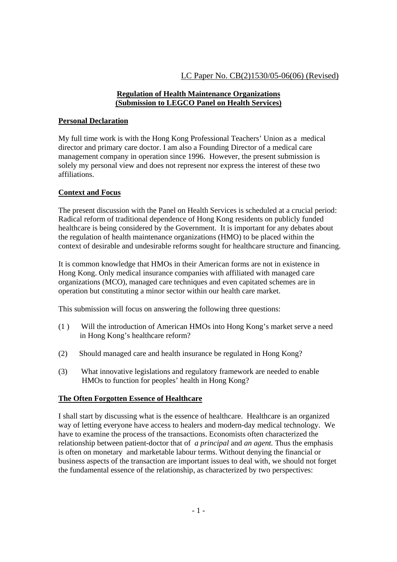# LC Paper No. CB(2)1530/05-06(06) (Revised)

### **Regulation of Health Maintenance Organizations (Submission to LEGCO Panel on Health Services)**

## **Personal Declaration**

My full time work is with the Hong Kong Professional Teachers' Union as a medical director and primary care doctor. I am also a Founding Director of a medical care management company in operation since 1996. However, the present submission is solely my personal view and does not represent nor express the interest of these two affiliations.

## **Context and Focus**

The present discussion with the Panel on Health Services is scheduled at a crucial period: Radical reform of traditional dependence of Hong Kong residents on publicly funded healthcare is being considered by the Government. It is important for any debates about the regulation of health maintenance organizations (HMO) to be placed within the context of desirable and undesirable reforms sought for healthcare structure and financing.

It is common knowledge that HMOs in their American forms are not in existence in Hong Kong. Only medical insurance companies with affiliated with managed care organizations (MCO), managed care techniques and even capitated schemes are in operation but constituting a minor sector within our health care market.

This submission will focus on answering the following three questions:

- (1 ) Will the introduction of American HMOs into Hong Kong's market serve a need in Hong Kong's healthcare reform?
- (2) Should managed care and health insurance be regulated in Hong Kong?
- (3) What innovative legislations and regulatory framework are needed to enable HMOs to function for peoples' health in Hong Kong?

## **The Often Forgotten Essence of Healthcare**

I shall start by discussing what is the essence of healthcare. Healthcare is an organized way of letting everyone have access to healers and modern-day medical technology. We have to examine the process of the transactions. Economists often characterized the relationship between patient-doctor that of *a principal* and *an agent.* Thus the emphasis is often on monetary and marketable labour terms. Without denying the financial or business aspects of the transaction are important issues to deal with, we should not forget the fundamental essence of the relationship, as characterized by two perspectives: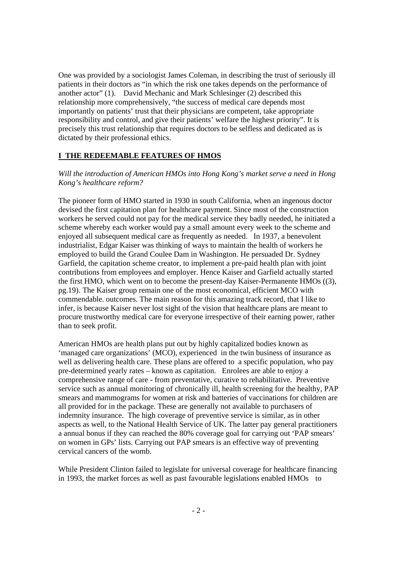One was provided by a sociologist James Coleman, in describing the trust of seriously ill patients in their doctors as "in which the risk one takes depends on the performance of another actor" (1). David Mechanic and Mark Schlesinger (2) described this relationship more comprehensively, "the success of medical care depends most importantly on patients' trust that their physicians are competent, take appropriate responsibility and control, and give their patients' welfare the highest priority". It is precisely this trust relationship that requires doctors to be selfless and dedicated as is dictated by their professional ethics.

## **I THE REDEEMABLE FEATURES OF HMOS**

### *Will the introduction of American HMOs into Hong Kong's market serve a need in Hong Kong's healthcare reform?*

The pioneer form of HMO started in 1930 in south California, when an ingenous doctor devised the first capitation plan for healthcare payment. Since most of the construction workers he served could not pay for the medical service they badly needed, he initiated a scheme whereby each worker would pay a small amount every week to the scheme and enjoyed all subsequent medical care as frequently as needed. In 1937, a benevolent industrialist, Edgar Kaiser was thinking of ways to maintain the health of workers he employed to build the Grand Coulee Dam in Washington. He persuaded Dr. Sydney Garfield, the capitation scheme creator, to implement a pre-paid health plan with joint contributions from employees and employer. Hence Kaiser and Garfield actually started the first HMO, which went on to become the present-day Kaiser-Permanente HMOs ((3), pg.19). The Kaiser group remain one of the most economical, efficient MCO with commendable. outcomes. The main reason for this amazing track record, that I like to infer, is because Kaiser never lost sight of the vision that healthcare plans are meant to procure trustworthy medical care for everyone irrespective of their earning power, rather than to seek profit.

American HMOs are health plans put out by highly capitalized bodies known as 'managed care organizations' (MCO), experienced in the twin business of insurance as well as delivering health care. These plans are offered to a specific population, who pay pre-determined yearly rates – known as capitation. Enrolees are able to enjoy a comprehensive range of care - from preventative, curative to rehabilitative. Preventive service such as annual monitoring of chronically ill, health screening for the healthy, PAP smears and mammograms for women at risk and batteries of vaccinations for children are all provided for in the package. These are generally not available to purchasers of indemnity insurance. The high coverage of preventive service is similar, as in other aspects as well, to the National Health Service of UK. The latter pay general practitioners a annual bonus if they can reached the 80% coverage goal for carrying out 'PAP smears' on women in GPs' lists. Carrying out PAP smears is an effective way of preventing cervical cancers of the womb.

While President Clinton failed to legislate for universal coverage for healthcare financing in 1993, the market forces as well as past favourable legislations enabled HMOs to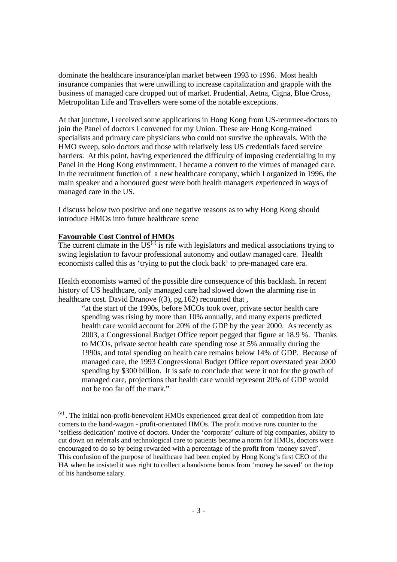dominate the healthcare insurance/plan market between 1993 to 1996. Most health insurance companies that were unwilling to increase capitalization and grapple with the business of managed care dropped out of market. Prudential, Aetna, Cigna, Blue Cross, Metropolitan Life and Travellers were some of the notable exceptions.

At that juncture, I received some applications in Hong Kong from US-returnee-doctors to join the Panel of doctors I convened for my Union. These are Hong Kong-trained specialists and primary care physicians who could not survive the upheavals. With the HMO sweep, solo doctors and those with relatively less US credentials faced service barriers. At this point, having experienced the difficulty of imposing credentialing in my Panel in the Hong Kong environment, I became a convert to the virtues of managed care. In the recruitment function of a new healthcare company, which I organized in 1996, the main speaker and a honoured guest were both health managers experienced in ways of managed care in the US.

I discuss below two positive and one negative reasons as to why Hong Kong should introduce HMOs into future healthcare scene

#### **Favourable Cost Control of HMOs**

The current climate in the  $US^{(a)}$  is rife with legislators and medical associations trying to swing legislation to favour professional autonomy and outlaw managed care. Health economists called this as 'trying to put the clock back' to pre-managed care era.

Health economists warned of the possible dire consequence of this backlash. In recent history of US healthcare, only managed care had slowed down the alarming rise in healthcare cost. David Dranove ((3), pg.162) recounted that,

"at the start of the 1990s, before MCOs took over, private sector health care spending was rising by more than 10% annually, and many experts predicted health care would account for 20% of the GDP by the year 2000. As recently as 2003, a Congressional Budget Office report pegged that figure at 18.9 %. Thanks to MCOs, private sector health care spending rose at 5% annually during the 1990s, and total spending on health care remains below 14% of GDP. Because of managed care, the 1993 Congressional Budget Office report overstated year 2000 spending by \$300 billion. It is safe to conclude that were it not for the growth of managed care, projections that health care would represent 20% of GDP would not be too far off the mark."

(a). The initial non-profit-benevolent HMOs experienced great deal of competition from late comers to the band-wagon - profit-orientated HMOs. The profit motive runs counter to the 'selfless dedication' motive of doctors. Under the 'corporate' culture of big companies, ability to cut down on referrals and technological care to patients became a norm for HMOs, doctors were encouraged to do so by being rewarded with a percentage of the profit from 'money saved'. This confusion of the purpose of healthcare had been copied by Hong Kong's first CEO of the HA when he insisted it was right to collect a handsome bonus from 'money he saved' on the top of his handsome salary.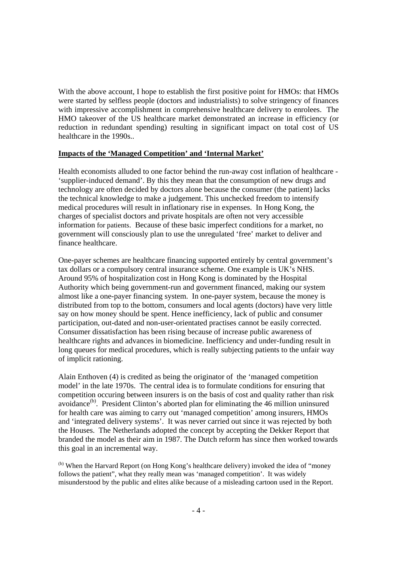With the above account, I hope to establish the first positive point for HMOs: that HMOs were started by selfless people (doctors and industrialists) to solve stringency of finances with impressive accomplishment in comprehensive healthcare delivery to enrolees. The HMO takeover of the US healthcare market demonstrated an increase in efficiency (or reduction in redundant spending) resulting in significant impact on total cost of US healthcare in the 1990s..

### **Impacts of the 'Managed Competition' and 'Internal Market'**

Health economists alluded to one factor behind the run-away cost inflation of healthcare - 'supplier-induced demand'. By this they mean that the consumption of new drugs and technology are often decided by doctors alone because the consumer (the patient) lacks the technical knowledge to make a judgement. This unchecked freedom to intensify medical procedures will result in inflationary rise in expenses. In Hong Kong, the charges of specialist doctors and private hospitals are often not very accessible information for patients. Because of these basic imperfect conditions for a market, no government will consciously plan to use the unregulated 'free' market to deliver and finance healthcare.

One-payer schemes are healthcare financing supported entirely by central government's tax dollars or a compulsory central insurance scheme. One example is UK's NHS. Around 95% of hospitalization cost in Hong Kong is dominated by the Hospital Authority which being government-run and government financed, making our system almost like a one-payer financing system. In one-payer system, because the money is distributed from top to the bottom, consumers and local agents (doctors) have very little say on how money should be spent. Hence inefficiency, lack of public and consumer participation, out-dated and non-user-orientated practises cannot be easily corrected. Consumer dissatisfaction has been rising because of increase public awareness of healthcare rights and advances in biomedicine. Inefficiency and under-funding result in long queues for medical procedures, which is really subjecting patients to the unfair way of implicit rationing.

Alain Enthoven (4) is credited as being the originator of the 'managed competition model' in the late 1970s. The central idea is to formulate conditions for ensuring that competition occuring between insurers is on the basis of cost and quality rather than risk avoidance<sup>(b)</sup>. President Clinton's aborted plan for eliminating the 46 million uninsured for health care was aiming to carry out 'managed competition' among insurers, HMOs and 'integrated delivery systems'. It was never carried out since it was rejected by both the Houses. The Netherlands adopted the concept by accepting the Dekker Report that branded the model as their aim in 1987. The Dutch reform has since then worked towards this goal in an incremental way.

(b) When the Harvard Report (on Hong Kong's healthcare delivery) invoked the idea of "money" follows the patient", what they really mean was 'managed competition'. It was widely misunderstood by the public and elites alike because of a misleading cartoon used in the Report.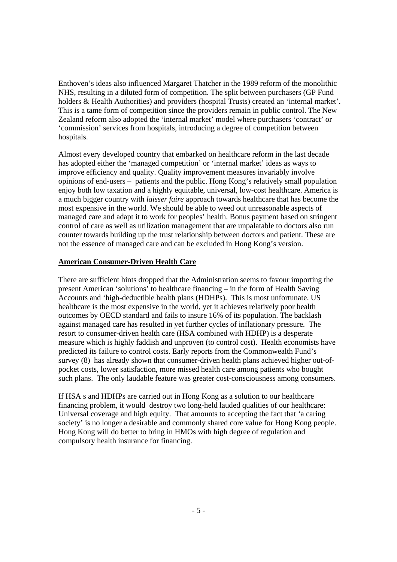Enthoven's ideas also influenced Margaret Thatcher in the 1989 reform of the monolithic NHS, resulting in a diluted form of competition. The split between purchasers (GP Fund holders & Health Authorities) and providers (hospital Trusts) created an 'internal market'. This is a tame form of competition since the providers remain in public control. The New Zealand reform also adopted the 'internal market' model where purchasers 'contract' or 'commission' services from hospitals, introducing a degree of competition between hospitals.

Almost every developed country that embarked on healthcare reform in the last decade has adopted either the 'managed competition' or 'internal market' ideas as ways to improve efficiency and quality. Quality improvement measures invariably involve opinions of end-users – patients and the public. Hong Kong's relatively small population enjoy both low taxation and a highly equitable, universal, low-cost healthcare. America is a much bigger country with *laisser faire* approach towards healthcare that has become the most expensive in the world. We should be able to weed out unreasonable aspects of managed care and adapt it to work for peoples' health. Bonus payment based on stringent control of care as well as utilization management that are unpalatable to doctors also run counter towards building up the trust relationship between doctors and patient. These are not the essence of managed care and can be excluded in Hong Kong's version.

### **American Consumer-Driven Health Care**

There are sufficient hints dropped that the Administration seems to favour importing the present American 'solutions' to healthcare financing – in the form of Health Saving Accounts and 'high-deductible health plans (HDHPs). This is most unfortunate. US healthcare is the most expensive in the world, yet it achieves relatively poor health outcomes by OECD standard and fails to insure 16% of its population. The backlash against managed care has resulted in yet further cycles of inflationary pressure. The resort to consumer-driven health care (HSA combined with HDHP) is a desperate measure which is highly faddish and unproven (to control cost). Health economists have predicted its failure to control costs. Early reports from the Commonwealth Fund's survey (8) has already shown that consumer-driven health plans achieved higher out-ofpocket costs, lower satisfaction, more missed health care among patients who bought such plans. The only laudable feature was greater cost-consciousness among consumers.

If HSA s and HDHPs are carried out in Hong Kong as a solution to our healthcare financing problem, it would destroy two long-held lauded qualities of our healthcare: Universal coverage and high equity. That amounts to accepting the fact that 'a caring society' is no longer a desirable and commonly shared core value for Hong Kong people. Hong Kong will do better to bring in HMOs with high degree of regulation and compulsory health insurance for financing.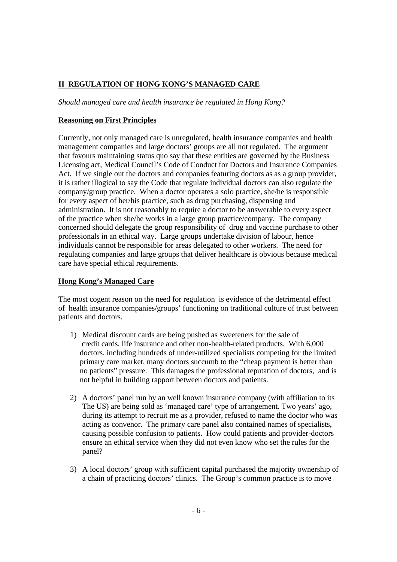# **II REGULATION OF HONG KONG'S MANAGED CARE**

*Should managed care and health insurance be regulated in Hong Kong?* 

## **Reasoning on First Principles**

Currently, not only managed care is unregulated, health insurance companies and health management companies and large doctors' groups are all not regulated. The argument that favours maintaining status quo say that these entities are governed by the Business Licensing act, Medical Council's Code of Conduct for Doctors and Insurance Companies Act. If we single out the doctors and companies featuring doctors as as a group provider, it is rather illogical to say the Code that regulate individual doctors can also regulate the company/group practice. When a doctor operates a solo practice, she/he is responsible for every aspect of her/his practice, such as drug purchasing, dispensing and administration. It is not reasonably to require a doctor to be answerable to every aspect of the practice when she/he works in a large group practice/company. The company concerned should delegate the group responsibility of drug and vaccine purchase to other professionals in an ethical way. Large groups undertake division of labour, hence individuals cannot be responsible for areas delegated to other workers. The need for regulating companies and large groups that deliver healthcare is obvious because medical care have special ethical requirements.

## **Hong Kong's Managed Care**

The most cogent reason on the need for regulation is evidence of the detrimental effect of health insurance companies/groups' functioning on traditional culture of trust between patients and doctors.

- 1) Medical discount cards are being pushed as sweeteners for the sale of credit cards, life insurance and other non-health-related products. With 6,000 doctors, including hundreds of under-utilized specialists competing for the limited primary care market, many doctors succumb to the "cheap payment is better than no patients" pressure. This damages the professional reputation of doctors, and is not helpful in building rapport between doctors and patients.
- 2) A doctors' panel run by an well known insurance company (with affiliation to its The US) are being sold as 'managed care' type of arrangement. Two years' ago, during its attempt to recruit me as a provider, refused to name the doctor who was acting as convenor. The primary care panel also contained names of specialists, causing possible confusion to patients. How could patients and provider-doctors ensure an ethical service when they did not even know who set the rules for the panel?
- 3) A local doctors' group with sufficient capital purchased the majority ownership of a chain of practicing doctors' clinics. The Group's common practice is to move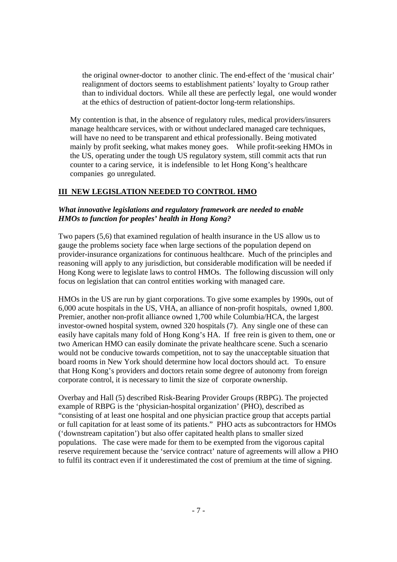the original owner-doctor to another clinic. The end-effect of the 'musical chair' realignment of doctors seems to establishment patients' loyalty to Group rather than to individual doctors. While all these are perfectly legal, one would wonder at the ethics of destruction of patient-doctor long-term relationships.

My contention is that, in the absence of regulatory rules, medical providers/insurers manage healthcare services, with or without undeclared managed care techniques, will have no need to be transparent and ethical professionally. Being motivated mainly by profit seeking, what makes money goes. While profit-seeking HMOs in the US, operating under the tough US regulatory system, still commit acts that run counter to a caring service, it is indefensible to let Hong Kong's healthcare companies go unregulated.

## **III NEW LEGISLATION NEEDED TO CONTROL HMO**

### *What innovative legislations and regulatory framework are needed to enable HMOs to function for peoples' health in Hong Kong?*

Two papers (5,6) that examined regulation of health insurance in the US allow us to gauge the problems society face when large sections of the population depend on provider-insurance organizations for continuous healthcare. Much of the principles and reasoning will apply to any jurisdiction, but considerable modification will be needed if Hong Kong were to legislate laws to control HMOs. The following discussion will only focus on legislation that can control entities working with managed care.

HMOs in the US are run by giant corporations. To give some examples by 1990s, out of 6,000 acute hospitals in the US, VHA, an alliance of non-profit hospitals, owned 1,800. Premier, another non-profit alliance owned 1,700 while Columbia/HCA, the largest investor-owned hospital system, owned 320 hospitals (7). Any single one of these can easily have capitals many fold of Hong Kong's HA. If free rein is given to them, one or two American HMO can easily dominate the private healthcare scene. Such a scenario would not be conducive towards competition, not to say the unacceptable situation that board rooms in New York should determine how local doctors should act. To ensure that Hong Kong's providers and doctors retain some degree of autonomy from foreign corporate control, it is necessary to limit the size of corporate ownership.

Overbay and Hall (5) described Risk-Bearing Provider Groups (RBPG). The projected example of RBPG is the 'physician-hospital organization' (PHO), described as "consisting of at least one hospital and one physician practice group that accepts partial or full capitation for at least some of its patients." PHO acts as subcontractors for HMOs ('downstream capitation') but also offer capitated health plans to smaller sized populations. The case were made for them to be exempted from the vigorous capital reserve requirement because the 'service contract' nature of agreements will allow a PHO to fulfil its contract even if it underestimated the cost of premium at the time of signing.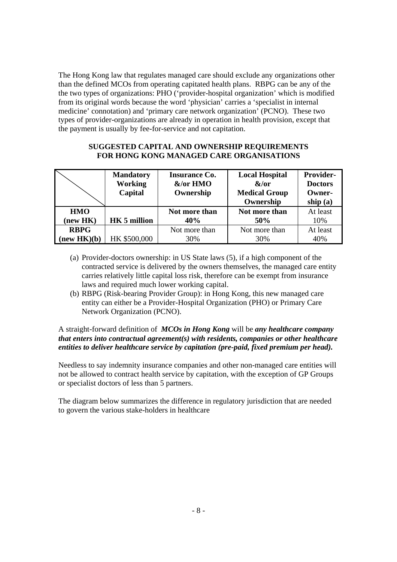The Hong Kong law that regulates managed care should exclude any organizations other than the defined MCOs from operating capitated health plans. RBPG can be any of the the two types of organizations: PHO ('provider-hospital organization' which is modified from its original words because the word 'physician' carries a 'specialist in internal medicine' connotation) and 'primary care network organization' (PCNO). These two types of provider-organizations are already in operation in health provision, except that the payment is usually by fee-for-service and not capitation.

### **SUGGESTED CAPITAL AND OWNERSHIP REQUIREMENTS FOR HONG KONG MANAGED CARE ORGANISATIONS**

|             | <b>Mandatory</b><br><b>Working</b><br>Capital | <b>Insurance Co.</b><br>&/or HMO<br>Ownership | <b>Local Hospital</b><br>$\&/or$<br><b>Medical Group</b><br>Ownership | Provider-<br><b>Doctors</b><br>Owner-<br>ship $(a)$ |
|-------------|-----------------------------------------------|-----------------------------------------------|-----------------------------------------------------------------------|-----------------------------------------------------|
| <b>HMO</b>  | <b>HK 5 million</b>                           | Not more than                                 | Not more than                                                         | At least                                            |
| (new HK)    |                                               | 40%                                           | 50%                                                                   | 10%                                                 |
| <b>RBPG</b> | HK \$500,000                                  | Not more than                                 | Not more than                                                         | At least                                            |
| (new HK)(b) |                                               | 30%                                           | 30%                                                                   | 40%                                                 |

- (a) Provider-doctors ownership: in US State laws (5), if a high component of the contracted service is delivered by the owners themselves, the managed care entity carries relatively little capital loss risk, therefore can be exempt from insurance laws and required much lower working capital.
- (b) RBPG (Risk-bearing Provider Group): in Hong Kong, this new managed care entity can either be a Provider-Hospital Organization (PHO) or Primary Care Network Organization (PCNO).

## A straight-forward definition of *MCOs in Hong Kong* will be *any healthcare company that enters into contractual agreement(s) with residents, companies or other healthcare entities to deliver healthcare service by capitation (pre-paid, fixed premium per head).*

Needless to say indemnity insurance companies and other non-managed care entities will not be allowed to contract health service by capitation, with the exception of GP Groups or specialist doctors of less than 5 partners.

The diagram below summarizes the difference in regulatory jurisdiction that are needed to govern the various stake-holders in healthcare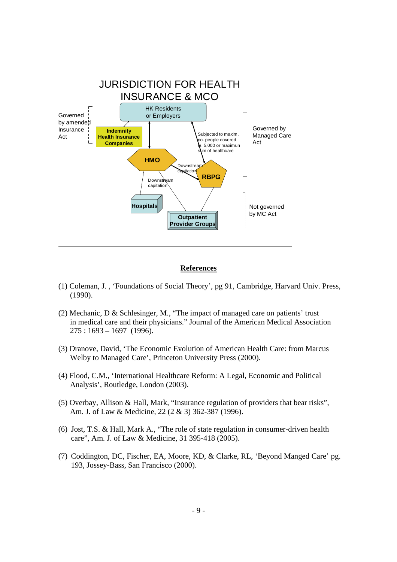

#### **References**

- (1) Coleman, J. , 'Foundations of Social Theory', pg 91, Cambridge, Harvard Univ. Press, (1990).
- (2) Mechanic, D & Schlesinger, M., "The impact of managed care on patients' trust in medical care and their physicians." Journal of the American Medical Association 275 : 1693 – 1697 (1996).
- (3) Dranove, David, 'The Economic Evolution of American Health Care: from Marcus Welby to Managed Care', Princeton University Press (2000).
- (4) Flood, C.M., 'International Healthcare Reform: A Legal, Economic and Political Analysis', Routledge, London (2003).
- (5) Overbay, Allison & Hall, Mark, "Insurance regulation of providers that bear risks", Am. J. of Law & Medicine, 22 (2 & 3) 362-387 (1996).
- (6) Jost, T.S. & Hall, Mark A., "The role of state regulation in consumer-driven health care", Am. J. of Law & Medicine, 31 395-418 (2005).
- (7) Coddington, DC, Fischer, EA, Moore, KD, & Clarke, RL, 'Beyond Manged Care' pg. 193, Jossey-Bass, San Francisco (2000).